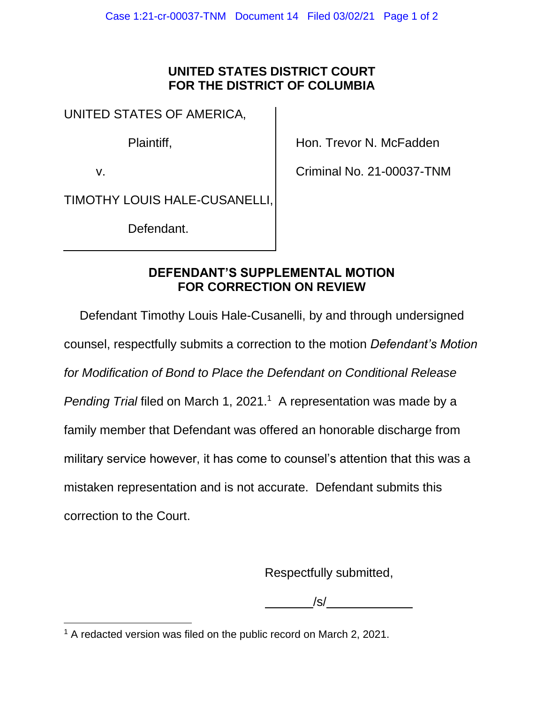## **UNITED STATES DISTRICT COURT FOR THE DISTRICT OF COLUMBIA**

UNITED STATES OF AMERICA,

Plaintiff,

v.

Hon. Trevor N. McFadden

Criminal No. 21-00037-TNM

TIMOTHY LOUIS HALE-CUSANELLI,

Defendant.

## **DEFENDANT'S SUPPLEMENTAL MOTION FOR CORRECTION ON REVIEW**

Defendant Timothy Louis Hale-Cusanelli, by and through undersigned counsel, respectfully submits a correction to the motion *Defendant's Motion for Modification of Bond to Place the Defendant on Conditional Release*  Pending Trial filed on March 1, 2021.<sup>1</sup> A representation was made by a family member that Defendant was offered an honorable discharge from military service however, it has come to counsel's attention that this was a mistaken representation and is not accurate. Defendant submits this correction to the Court.

Respectfully submitted,

/s/

<sup>&</sup>lt;sup>1</sup> A redacted version was filed on the public record on March 2, 2021.